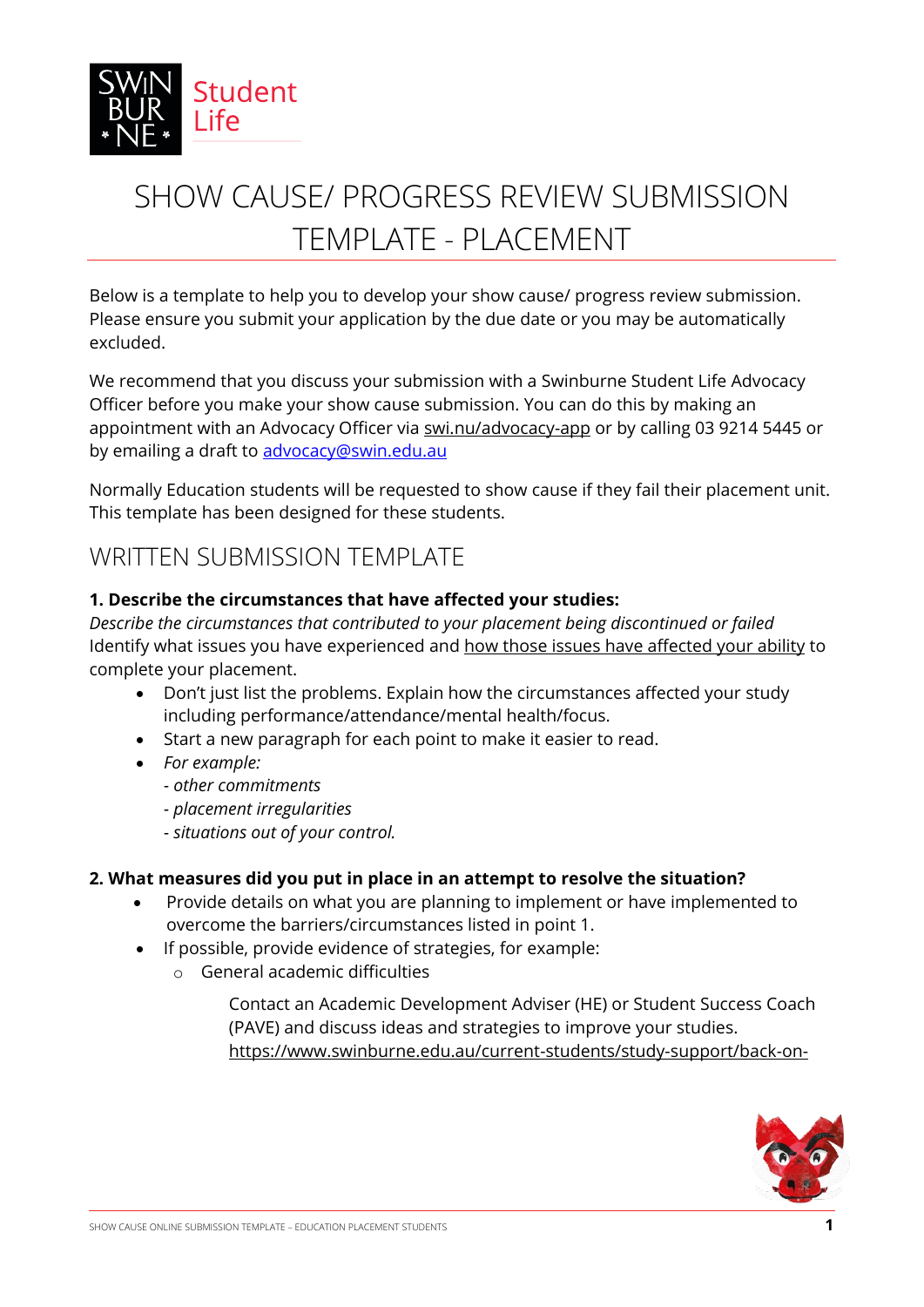

# SHOW CAUSE/ PROGRESS REVIEW SUBMISSION TEMPLATE - PLACEMENT

Below is a template to help you to develop your show cause/ progress review submission. Please ensure you submit your application by the due date or you may be automatically excluded.

We recommend that you discuss your submission with a Swinburne Student Life Advocacy Officer before you make your show cause submission. You can do this by making an appointment with an Advocacy Officer via [swi.nu/advocacy-app](https://outlook.office365.com/owa/calendar/Bookings_Advocacy@swin.edu.au/bookings/) or by calling 03 9214 5445 or by emailing a draft to advocacy@swin.edu.au

Normally Education students will be requested to show cause if they fail their placement unit. This template has been designed for these students.

## WRITTEN SUBMISSION TEMPLATE

### **1. Describe the circumstances that have affected your studies:**

*Describe the circumstances that contributed to your placement being discontinued or failed* Identify what issues you have experienced and how those issues have affected your ability to complete your placement.

- Don't just list the problems. Explain how the circumstances affected your study including performance/attendance/mental health/focus.
- Start a new paragraph for each point to make it easier to read.
- *For example:*
	- *- other commitments*
	- *- placement irregularities*
	- *- situations out of your control.*

### **2. What measures did you put in place in an attempt to resolve the situation?**

- Provide details on what you are planning to implement or have implemented to overcome the barriers/circumstances listed in point 1.
- If possible, provide evidence of strategies, for example:
	- o General academic difficulties
		- Contact an Academic Development Adviser (HE) or Student Success Coach (PAVE) and discuss ideas and strategies to improve your studies. [https://www.swinburne.edu.au/current-students/study-support/back-on-](https://www.swinburne.edu.au/current-students/study-support/back-on-track/academic-adviser/)

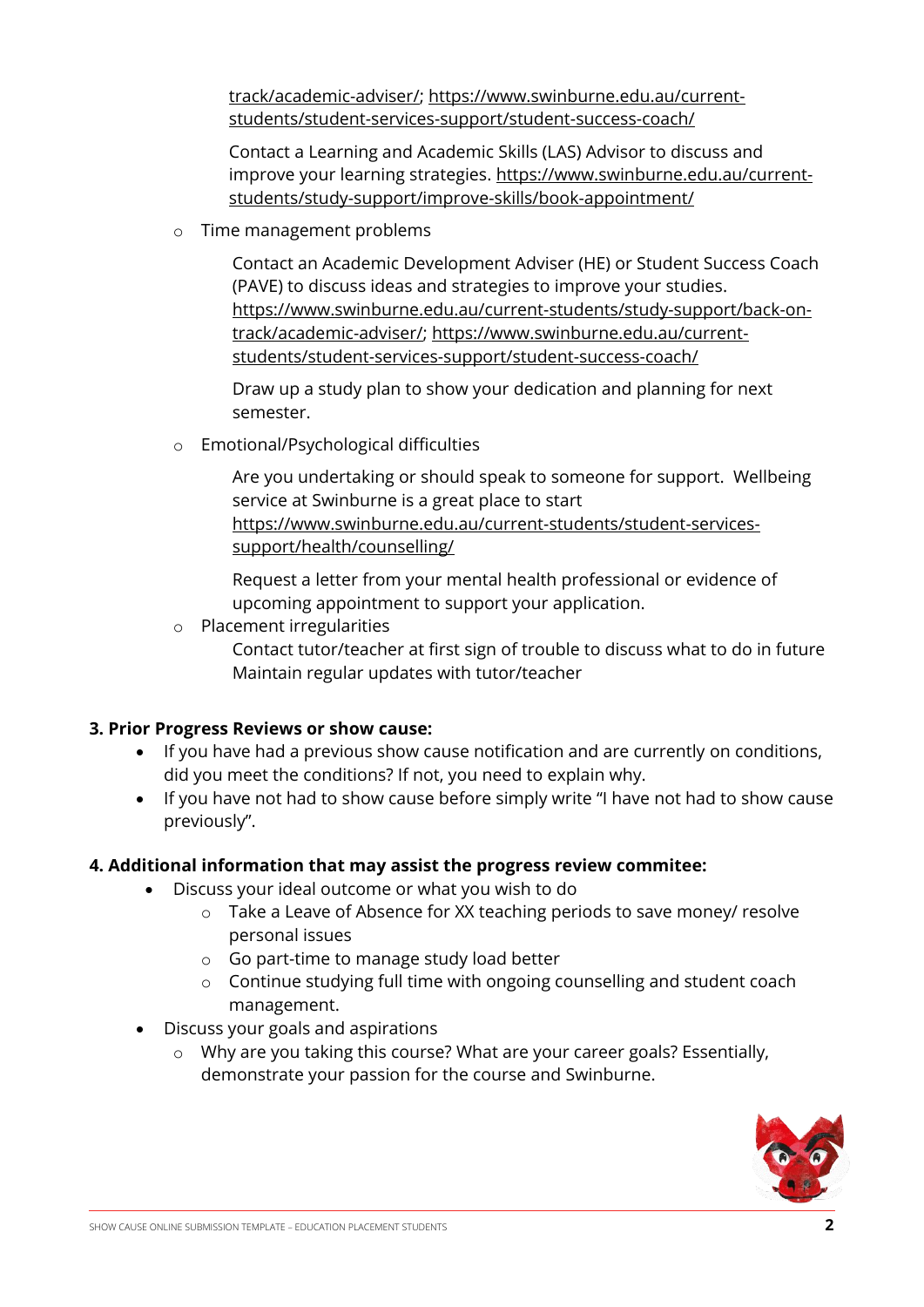[track/academic-adviser/;](https://www.swinburne.edu.au/current-students/study-support/back-on-track/academic-adviser/) https://www.swinburne.edu.au/currentstudents/student-services-support/student-success-coach/

Contact a Learning and Academic Skills (LAS) Advisor to discuss and improve your learning strategies. https://www.swinburne.edu.au/currentstudents/study-support/improve-skills/book-appointment/

o Time management problems

Contact an Academic Development Adviser (HE) or Student Success Coach (PAVE) to discuss ideas and strategies to improve your studies. [https://www.swinburne.edu.au/current-students/study-support/back-on](https://www.swinburne.edu.au/current-students/study-support/back-on-track/academic-adviser/)[track/academic-adviser/;](https://www.swinburne.edu.au/current-students/study-support/back-on-track/academic-adviser/) https://www.swinburne.edu.au/currentstudents/student-services-support/student-success-coach/

Draw up a study plan to show your dedication and planning for next semester.

o Emotional/Psychological difficulties

Are you undertaking or should speak to someone for support. Wellbeing service at Swinburne is a great place to start https://www.swinburne.edu.au/current-students/student-servicessupport/health/counselling/

Request a letter from your mental health professional or evidence of upcoming appointment to support your application.

- o Placement irregularities
	- Contact tutor/teacher at first sign of trouble to discuss what to do in future Maintain regular updates with tutor/teacher

### **3. Prior Progress Reviews or show cause:**

- If you have had a previous show cause notification and are currently on conditions, did you meet the conditions? If not, you need to explain why.
- If you have not had to show cause before simply write "I have not had to show cause previously".

### **4. Additional information that may assist the progress review commitee:**

- Discuss your ideal outcome or what you wish to do
	- o Take a Leave of Absence for XX teaching periods to save money/ resolve personal issues
	- o Go part-time to manage study load better
	- o Continue studying full time with ongoing counselling and student coach management.
- Discuss your goals and aspirations
	- o Why are you taking this course? What are your career goals? Essentially, demonstrate your passion for the course and Swinburne.